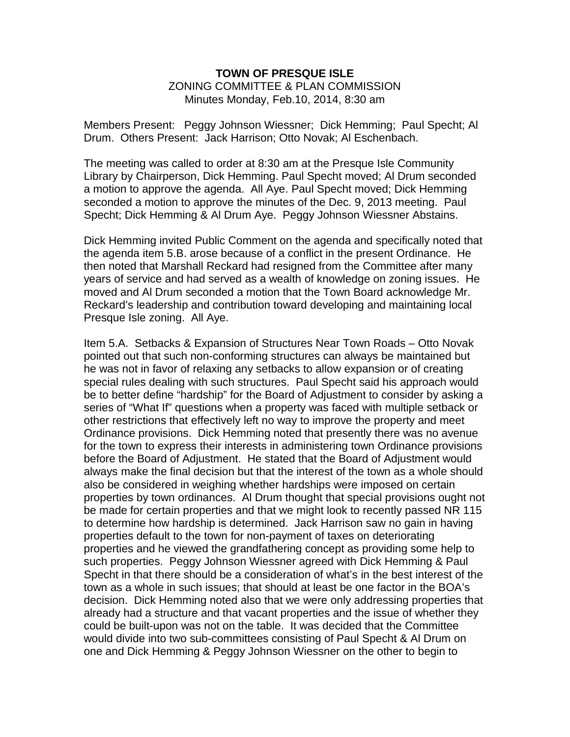### **TOWN OF PRESQUE ISLE** ZONING COMMITTEE & PLAN COMMISSION Minutes Monday, Feb.10, 2014, 8:30 am

Members Present: Peggy Johnson Wiessner; Dick Hemming; Paul Specht; Al Drum. Others Present: Jack Harrison; Otto Novak; Al Eschenbach.

The meeting was called to order at 8:30 am at the Presque Isle Community Library by Chairperson, Dick Hemming. Paul Specht moved; Al Drum seconded a motion to approve the agenda. All Aye. Paul Specht moved; Dick Hemming seconded a motion to approve the minutes of the Dec. 9, 2013 meeting. Paul Specht; Dick Hemming & Al Drum Aye. Peggy Johnson Wiessner Abstains.

Dick Hemming invited Public Comment on the agenda and specifically noted that the agenda item 5.B. arose because of a conflict in the present Ordinance. He then noted that Marshall Reckard had resigned from the Committee after many years of service and had served as a wealth of knowledge on zoning issues. He moved and Al Drum seconded a motion that the Town Board acknowledge Mr. Reckard's leadership and contribution toward developing and maintaining local Presque Isle zoning. All Aye.

Item 5.A. Setbacks & Expansion of Structures Near Town Roads – Otto Novak pointed out that such non-conforming structures can always be maintained but he was not in favor of relaxing any setbacks to allow expansion or of creating special rules dealing with such structures. Paul Specht said his approach would be to better define "hardship" for the Board of Adjustment to consider by asking a series of "What If" questions when a property was faced with multiple setback or other restrictions that effectively left no way to improve the property and meet Ordinance provisions. Dick Hemming noted that presently there was no avenue for the town to express their interests in administering town Ordinance provisions before the Board of Adjustment. He stated that the Board of Adjustment would always make the final decision but that the interest of the town as a whole should also be considered in weighing whether hardships were imposed on certain properties by town ordinances. Al Drum thought that special provisions ought not be made for certain properties and that we might look to recently passed NR 115 to determine how hardship is determined. Jack Harrison saw no gain in having properties default to the town for non-payment of taxes on deteriorating properties and he viewed the grandfathering concept as providing some help to such properties. Peggy Johnson Wiessner agreed with Dick Hemming & Paul Specht in that there should be a consideration of what's in the best interest of the town as a whole in such issues; that should at least be one factor in the BOA's decision. Dick Hemming noted also that we were only addressing properties that already had a structure and that vacant properties and the issue of whether they could be built-upon was not on the table. It was decided that the Committee would divide into two sub-committees consisting of Paul Specht & Al Drum on one and Dick Hemming & Peggy Johnson Wiessner on the other to begin to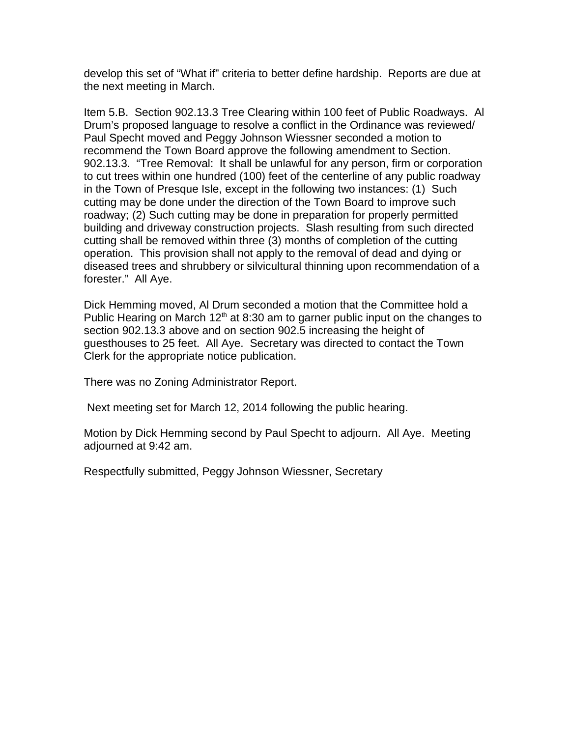develop this set of "What if" criteria to better define hardship. Reports are due at the next meeting in March.

Item 5.B. Section 902.13.3 Tree Clearing within 100 feet of Public Roadways. Al Drum's proposed language to resolve a conflict in the Ordinance was reviewed/ Paul Specht moved and Peggy Johnson Wiessner seconded a motion to recommend the Town Board approve the following amendment to Section. 902.13.3. "Tree Removal: It shall be unlawful for any person, firm or corporation to cut trees within one hundred (100) feet of the centerline of any public roadway in the Town of Presque Isle, except in the following two instances: (1) Such cutting may be done under the direction of the Town Board to improve such roadway; (2) Such cutting may be done in preparation for properly permitted building and driveway construction projects. Slash resulting from such directed cutting shall be removed within three (3) months of completion of the cutting operation. This provision shall not apply to the removal of dead and dying or diseased trees and shrubbery or silvicultural thinning upon recommendation of a forester." All Aye.

Dick Hemming moved, Al Drum seconded a motion that the Committee hold a Public Hearing on March  $12<sup>th</sup>$  at 8:30 am to garner public input on the changes to section 902.13.3 above and on section 902.5 increasing the height of guesthouses to 25 feet. All Aye. Secretary was directed to contact the Town Clerk for the appropriate notice publication.

There was no Zoning Administrator Report.

Next meeting set for March 12, 2014 following the public hearing.

Motion by Dick Hemming second by Paul Specht to adjourn. All Aye. Meeting adjourned at 9:42 am.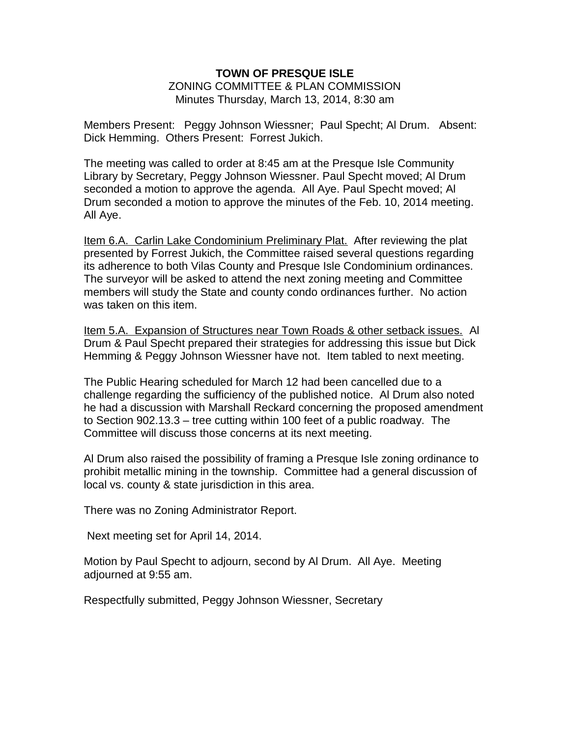### **TOWN OF PRESQUE ISLE** ZONING COMMITTEE & PLAN COMMISSION Minutes Thursday, March 13, 2014, 8:30 am

Members Present: Peggy Johnson Wiessner; Paul Specht; Al Drum. Absent: Dick Hemming. Others Present: Forrest Jukich.

The meeting was called to order at 8:45 am at the Presque Isle Community Library by Secretary, Peggy Johnson Wiessner. Paul Specht moved; Al Drum seconded a motion to approve the agenda. All Aye. Paul Specht moved; Al Drum seconded a motion to approve the minutes of the Feb. 10, 2014 meeting. All Aye.

Item 6.A. Carlin Lake Condominium Preliminary Plat. After reviewing the plat presented by Forrest Jukich, the Committee raised several questions regarding its adherence to both Vilas County and Presque Isle Condominium ordinances. The surveyor will be asked to attend the next zoning meeting and Committee members will study the State and county condo ordinances further. No action was taken on this item.

Item 5.A. Expansion of Structures near Town Roads & other setback issues. Al Drum & Paul Specht prepared their strategies for addressing this issue but Dick Hemming & Peggy Johnson Wiessner have not. Item tabled to next meeting.

The Public Hearing scheduled for March 12 had been cancelled due to a challenge regarding the sufficiency of the published notice. Al Drum also noted he had a discussion with Marshall Reckard concerning the proposed amendment to Section 902.13.3 – tree cutting within 100 feet of a public roadway. The Committee will discuss those concerns at its next meeting.

Al Drum also raised the possibility of framing a Presque Isle zoning ordinance to prohibit metallic mining in the township. Committee had a general discussion of local vs. county & state jurisdiction in this area.

There was no Zoning Administrator Report.

Next meeting set for April 14, 2014.

Motion by Paul Specht to adjourn, second by Al Drum. All Aye. Meeting adjourned at 9:55 am.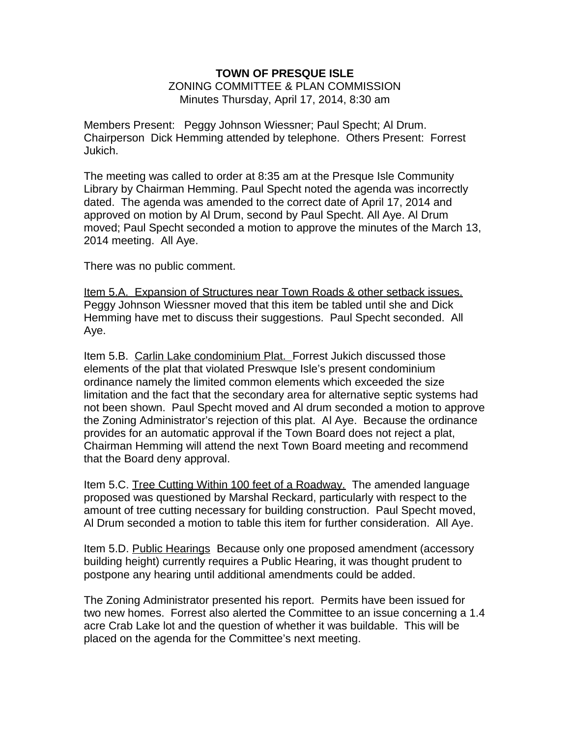### **TOWN OF PRESQUE ISLE** ZONING COMMITTEE & PLAN COMMISSION Minutes Thursday, April 17, 2014, 8:30 am

Members Present: Peggy Johnson Wiessner; Paul Specht; Al Drum. Chairperson Dick Hemming attended by telephone. Others Present: Forrest Jukich.

The meeting was called to order at 8:35 am at the Presque Isle Community Library by Chairman Hemming. Paul Specht noted the agenda was incorrectly dated. The agenda was amended to the correct date of April 17, 2014 and approved on motion by Al Drum, second by Paul Specht. All Aye. Al Drum moved; Paul Specht seconded a motion to approve the minutes of the March 13, 2014 meeting. All Aye.

There was no public comment.

Item 5.A. Expansion of Structures near Town Roads & other setback issues. Peggy Johnson Wiessner moved that this item be tabled until she and Dick Hemming have met to discuss their suggestions. Paul Specht seconded. All Aye.

Item 5.B. Carlin Lake condominium Plat. Forrest Jukich discussed those elements of the plat that violated Preswque Isle's present condominium ordinance namely the limited common elements which exceeded the size limitation and the fact that the secondary area for alternative septic systems had not been shown. Paul Specht moved and Al drum seconded a motion to approve the Zoning Administrator's rejection of this plat. Al Aye. Because the ordinance provides for an automatic approval if the Town Board does not reject a plat, Chairman Hemming will attend the next Town Board meeting and recommend that the Board deny approval.

Item 5.C. Tree Cutting Within 100 feet of a Roadway. The amended language proposed was questioned by Marshal Reckard, particularly with respect to the amount of tree cutting necessary for building construction. Paul Specht moved, Al Drum seconded a motion to table this item for further consideration. All Aye.

Item 5.D. Public Hearings Because only one proposed amendment (accessory building height) currently requires a Public Hearing, it was thought prudent to postpone any hearing until additional amendments could be added.

The Zoning Administrator presented his report. Permits have been issued for two new homes. Forrest also alerted the Committee to an issue concerning a 1.4 acre Crab Lake lot and the question of whether it was buildable. This will be placed on the agenda for the Committee's next meeting.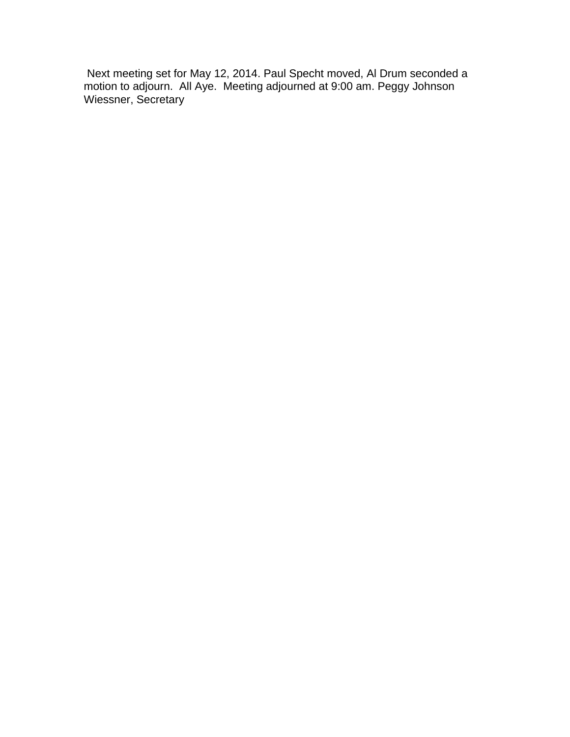Next meeting set for May 12, 2014. Paul Specht moved, Al Drum seconded a motion to adjourn. All Aye. Meeting adjourned at 9:00 am. Peggy Johnson Wiessner, Secretary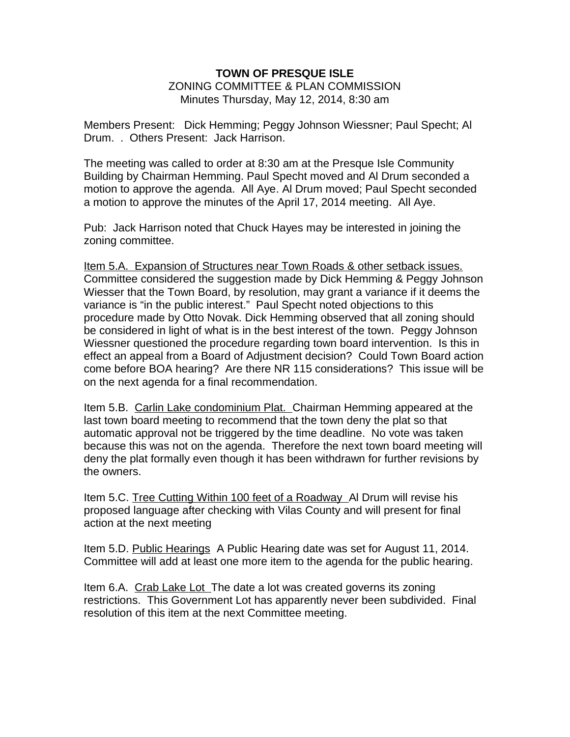### **TOWN OF PRESQUE ISLE** ZONING COMMITTEE & PLAN COMMISSION Minutes Thursday, May 12, 2014, 8:30 am

Members Present: Dick Hemming; Peggy Johnson Wiessner; Paul Specht; Al Drum. . Others Present: Jack Harrison.

The meeting was called to order at 8:30 am at the Presque Isle Community Building by Chairman Hemming. Paul Specht moved and Al Drum seconded a motion to approve the agenda. All Aye. Al Drum moved; Paul Specht seconded a motion to approve the minutes of the April 17, 2014 meeting. All Aye.

Pub: Jack Harrison noted that Chuck Hayes may be interested in joining the zoning committee.

Item 5.A. Expansion of Structures near Town Roads & other setback issues. Committee considered the suggestion made by Dick Hemming & Peggy Johnson Wiesser that the Town Board, by resolution, may grant a variance if it deems the variance is "in the public interest." Paul Specht noted objections to this procedure made by Otto Novak. Dick Hemming observed that all zoning should be considered in light of what is in the best interest of the town. Peggy Johnson Wiessner questioned the procedure regarding town board intervention. Is this in effect an appeal from a Board of Adjustment decision? Could Town Board action come before BOA hearing? Are there NR 115 considerations? This issue will be on the next agenda for a final recommendation.

Item 5.B. Carlin Lake condominium Plat. Chairman Hemming appeared at the last town board meeting to recommend that the town deny the plat so that automatic approval not be triggered by the time deadline. No vote was taken because this was not on the agenda. Therefore the next town board meeting will deny the plat formally even though it has been withdrawn for further revisions by the owners.

Item 5.C. Tree Cutting Within 100 feet of a Roadway Al Drum will revise his proposed language after checking with Vilas County and will present for final action at the next meeting

Item 5.D. Public Hearings A Public Hearing date was set for August 11, 2014. Committee will add at least one more item to the agenda for the public hearing.

Item 6.A. Crab Lake Lot The date a lot was created governs its zoning restrictions. This Government Lot has apparently never been subdivided. Final resolution of this item at the next Committee meeting.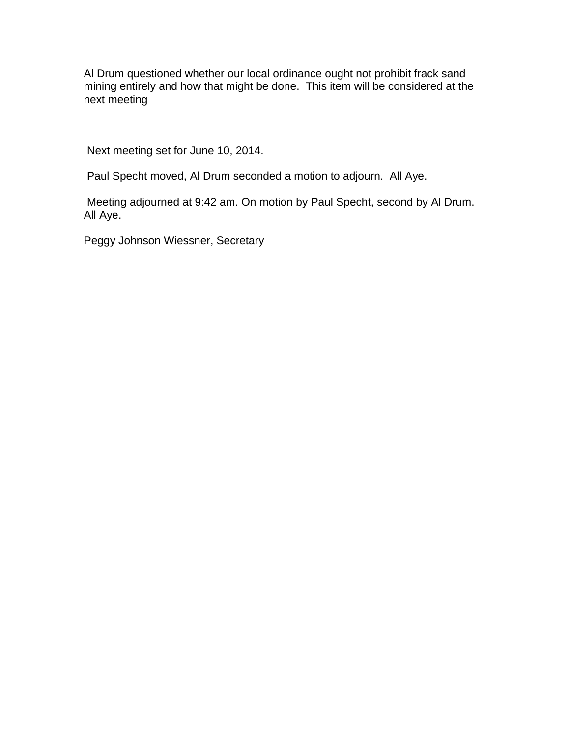Al Drum questioned whether our local ordinance ought not prohibit frack sand mining entirely and how that might be done. This item will be considered at the next meeting

Next meeting set for June 10, 2014.

Paul Specht moved, Al Drum seconded a motion to adjourn. All Aye.

Meeting adjourned at 9:42 am. On motion by Paul Specht, second by Al Drum. All Aye.

Peggy Johnson Wiessner, Secretary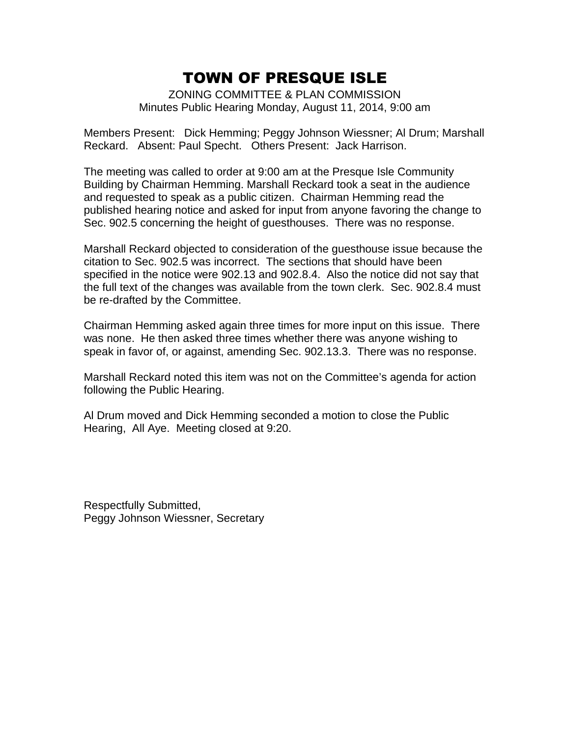ZONING COMMITTEE & PLAN COMMISSION Minutes Public Hearing Monday, August 11, 2014, 9:00 am

Members Present: Dick Hemming; Peggy Johnson Wiessner; Al Drum; Marshall Reckard. Absent: Paul Specht. Others Present: Jack Harrison.

The meeting was called to order at 9:00 am at the Presque Isle Community Building by Chairman Hemming. Marshall Reckard took a seat in the audience and requested to speak as a public citizen. Chairman Hemming read the published hearing notice and asked for input from anyone favoring the change to Sec. 902.5 concerning the height of guesthouses. There was no response.

Marshall Reckard objected to consideration of the guesthouse issue because the citation to Sec. 902.5 was incorrect. The sections that should have been specified in the notice were 902.13 and 902.8.4. Also the notice did not say that the full text of the changes was available from the town clerk. Sec. 902.8.4 must be re-drafted by the Committee.

Chairman Hemming asked again three times for more input on this issue. There was none. He then asked three times whether there was anyone wishing to speak in favor of, or against, amending Sec. 902.13.3. There was no response.

Marshall Reckard noted this item was not on the Committee's agenda for action following the Public Hearing.

Al Drum moved and Dick Hemming seconded a motion to close the Public Hearing, All Aye. Meeting closed at 9:20.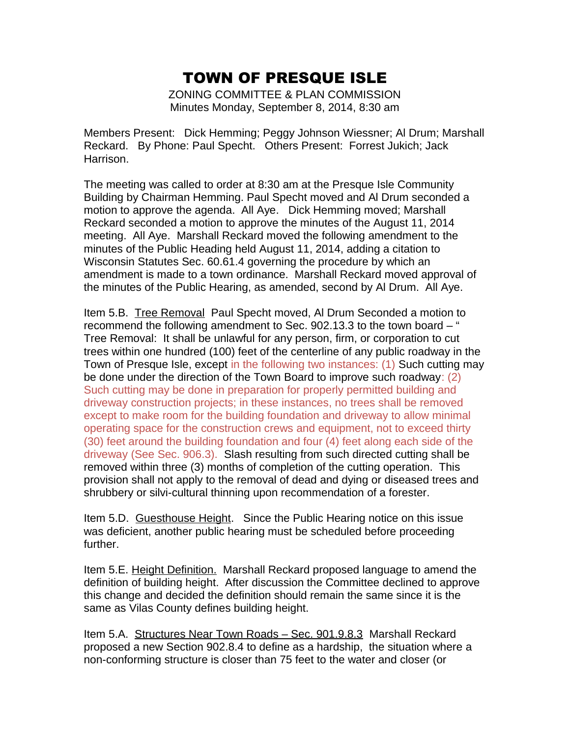ZONING COMMITTEE & PLAN COMMISSION Minutes Monday, September 8, 2014, 8:30 am

Members Present: Dick Hemming; Peggy Johnson Wiessner; Al Drum; Marshall Reckard. By Phone: Paul Specht. Others Present: Forrest Jukich; Jack Harrison.

The meeting was called to order at 8:30 am at the Presque Isle Community Building by Chairman Hemming. Paul Specht moved and Al Drum seconded a motion to approve the agenda. All Aye. Dick Hemming moved; Marshall Reckard seconded a motion to approve the minutes of the August 11, 2014 meeting. All Aye. Marshall Reckard moved the following amendment to the minutes of the Public Heading held August 11, 2014, adding a citation to Wisconsin Statutes Sec. 60.61.4 governing the procedure by which an amendment is made to a town ordinance. Marshall Reckard moved approval of the minutes of the Public Hearing, as amended, second by Al Drum. All Aye.

Item 5.B. Tree Removal Paul Specht moved, Al Drum Seconded a motion to recommend the following amendment to Sec. 902.13.3 to the town board – " Tree Removal: It shall be unlawful for any person, firm, or corporation to cut trees within one hundred (100) feet of the centerline of any public roadway in the Town of Presque Isle, except in the following two instances: (1) Such cutting may be done under the direction of the Town Board to improve such roadway: (2) Such cutting may be done in preparation for properly permitted building and driveway construction projects; in these instances, no trees shall be removed except to make room for the building foundation and driveway to allow minimal operating space for the construction crews and equipment, not to exceed thirty (30) feet around the building foundation and four (4) feet along each side of the driveway (See Sec. 906.3). Slash resulting from such directed cutting shall be removed within three (3) months of completion of the cutting operation. This provision shall not apply to the removal of dead and dying or diseased trees and shrubbery or silvi-cultural thinning upon recommendation of a forester.

Item 5.D. Guesthouse Height. Since the Public Hearing notice on this issue was deficient, another public hearing must be scheduled before proceeding further.

Item 5.E. Height Definition. Marshall Reckard proposed language to amend the definition of building height. After discussion the Committee declined to approve this change and decided the definition should remain the same since it is the same as Vilas County defines building height.

Item 5.A. Structures Near Town Roads – Sec. 901.9.8.3 Marshall Reckard proposed a new Section 902.8.4 to define as a hardship, the situation where a non-conforming structure is closer than 75 feet to the water and closer (or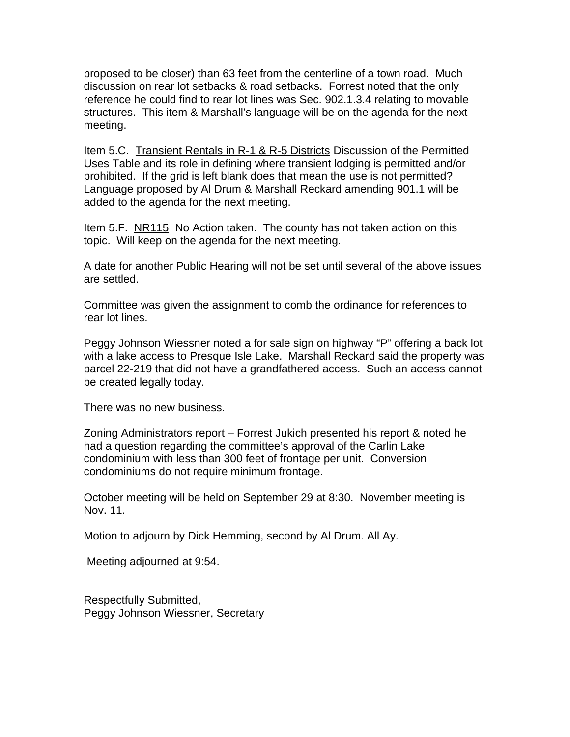proposed to be closer) than 63 feet from the centerline of a town road. Much discussion on rear lot setbacks & road setbacks. Forrest noted that the only reference he could find to rear lot lines was Sec. 902.1.3.4 relating to movable structures. This item & Marshall's language will be on the agenda for the next meeting.

Item 5.C. Transient Rentals in R-1 & R-5 Districts Discussion of the Permitted Uses Table and its role in defining where transient lodging is permitted and/or prohibited. If the grid is left blank does that mean the use is not permitted? Language proposed by Al Drum & Marshall Reckard amending 901.1 will be added to the agenda for the next meeting.

Item 5.F. NR115 No Action taken. The county has not taken action on this topic. Will keep on the agenda for the next meeting.

A date for another Public Hearing will not be set until several of the above issues are settled.

Committee was given the assignment to comb the ordinance for references to rear lot lines.

Peggy Johnson Wiessner noted a for sale sign on highway "P" offering a back lot with a lake access to Presque Isle Lake. Marshall Reckard said the property was parcel 22-219 that did not have a grandfathered access. Such an access cannot be created legally today.

There was no new business.

Zoning Administrators report – Forrest Jukich presented his report & noted he had a question regarding the committee's approval of the Carlin Lake condominium with less than 300 feet of frontage per unit. Conversion condominiums do not require minimum frontage.

October meeting will be held on September 29 at 8:30. November meeting is Nov. 11.

Motion to adjourn by Dick Hemming, second by Al Drum. All Ay.

Meeting adjourned at 9:54.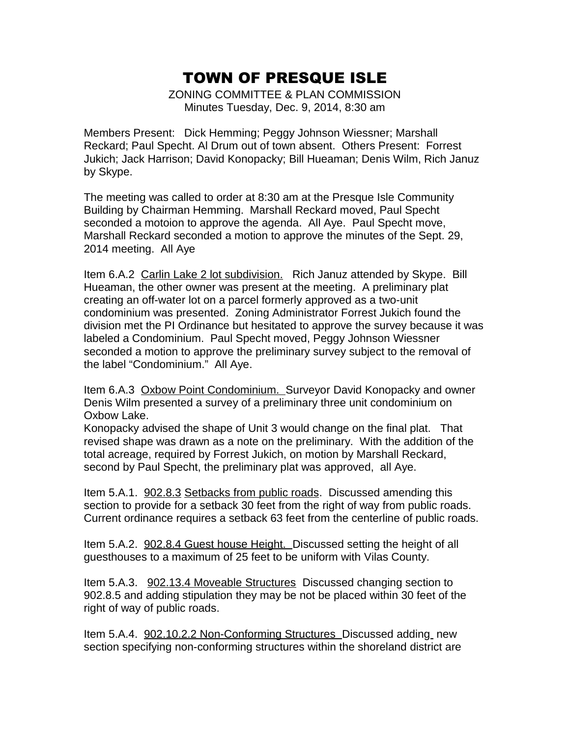ZONING COMMITTEE & PLAN COMMISSION Minutes Tuesday, Dec. 9, 2014, 8:30 am

Members Present: Dick Hemming; Peggy Johnson Wiessner; Marshall Reckard; Paul Specht. Al Drum out of town absent. Others Present: Forrest Jukich; Jack Harrison; David Konopacky; Bill Hueaman; Denis Wilm, Rich Januz by Skype.

The meeting was called to order at 8:30 am at the Presque Isle Community Building by Chairman Hemming. Marshall Reckard moved, Paul Specht seconded a motoion to approve the agenda. All Aye. Paul Specht move, Marshall Reckard seconded a motion to approve the minutes of the Sept. 29, 2014 meeting. All Aye

Item 6.A.2 Carlin Lake 2 lot subdivision. Rich Januz attended by Skype. Bill Hueaman, the other owner was present at the meeting. A preliminary plat creating an off-water lot on a parcel formerly approved as a two-unit condominium was presented. Zoning Administrator Forrest Jukich found the division met the PI Ordinance but hesitated to approve the survey because it was labeled a Condominium. Paul Specht moved, Peggy Johnson Wiessner seconded a motion to approve the preliminary survey subject to the removal of the label "Condominium." All Aye.

Item 6.A.3 Oxbow Point Condominium. Surveyor David Konopacky and owner Denis Wilm presented a survey of a preliminary three unit condominium on Oxbow Lake.

Konopacky advised the shape of Unit 3 would change on the final plat. That revised shape was drawn as a note on the preliminary. With the addition of the total acreage, required by Forrest Jukich, on motion by Marshall Reckard, second by Paul Specht, the preliminary plat was approved, all Aye.

Item 5.A.1. 902.8.3 Setbacks from public roads. Discussed amending this section to provide for a setback 30 feet from the right of way from public roads. Current ordinance requires a setback 63 feet from the centerline of public roads.

Item 5.A.2. 902.8.4 Guest house Height. Discussed setting the height of all guesthouses to a maximum of 25 feet to be uniform with Vilas County.

Item 5.A.3. 902.13.4 Moveable Structures Discussed changing section to 902.8.5 and adding stipulation they may be not be placed within 30 feet of the right of way of public roads.

Item 5.A.4. 902.10.2.2 Non-Conforming Structures\_Discussed adding new section specifying non-conforming structures within the shoreland district are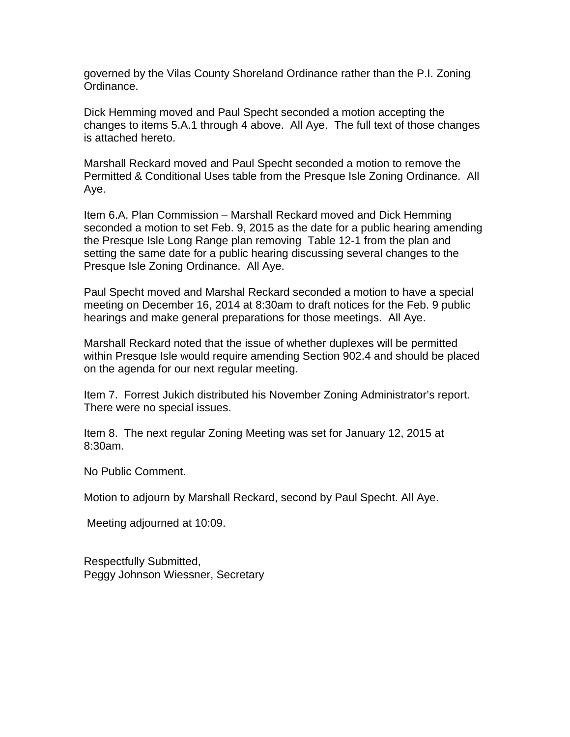governed by the Vilas County Shoreland Ordinance rather than the P.I. Zoning Ordinance.

Dick Hemming moved and Paul Specht seconded a motion accepting the changes to items 5.A.1 through 4 above. All Aye. The full text of those changes is attached hereto.

Marshall Reckard moved and Paul Specht seconded a motion to remove the Permitted & Conditional Uses table from the Presque Isle Zoning Ordinance. All Aye.

Item 6.A. Plan Commission – Marshall Reckard moved and Dick Hemming seconded a motion to set Feb. 9, 2015 as the date for a public hearing amending the Presque Isle Long Range plan removing Table 12-1 from the plan and setting the same date for a public hearing discussing several changes to the Presque Isle Zoning Ordinance. All Aye.

Paul Specht moved and Marshal Reckard seconded a motion to have a special meeting on December 16, 2014 at 8:30am to draft notices for the Feb. 9 public hearings and make general preparations for those meetings. All Aye.

Marshall Reckard noted that the issue of whether duplexes will be permitted within Presque Isle would require amending Section 902.4 and should be placed on the agenda for our next regular meeting.

Item 7. Forrest Jukich distributed his November Zoning Administrator's report. There were no special issues.

Item 8. The next regular Zoning Meeting was set for January 12, 2015 at 8:30am.

No Public Comment.

Motion to adjourn by Marshall Reckard, second by Paul Specht. All Aye.

Meeting adjourned at 10:09.